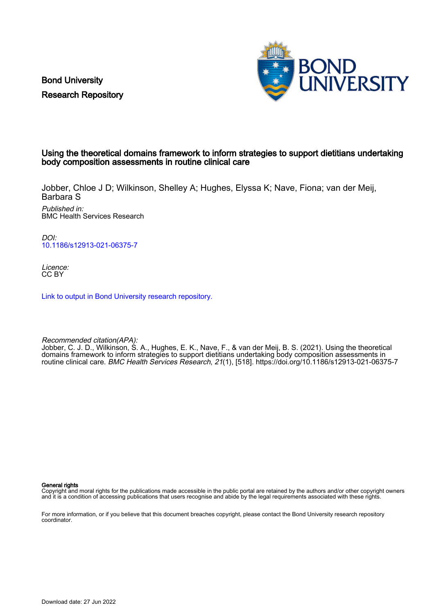Bond University Research Repository



## Using the theoretical domains framework to inform strategies to support dietitians undertaking body composition assessments in routine clinical care

Jobber, Chloe J D; Wilkinson, Shelley A; Hughes, Elyssa K; Nave, Fiona; van der Meij, Barbara S

Published in: BMC Health Services Research

DOI: [10.1186/s12913-021-06375-7](https://doi.org/10.1186/s12913-021-06375-7)

Licence: CC BY

[Link to output in Bond University research repository.](https://research.bond.edu.au/en/publications/1ef3e8ce-f8dc-4b59-acb8-2a408244ee4d)

Recommended citation(APA):

Jobber, C. J. D., Wilkinson, S. A., Hughes, E. K., Nave, F., & van der Meij, B. S. (2021). Using the theoretical domains framework to inform strategies to support dietitians undertaking body composition assessments in routine clinical care. BMC Health Services Research, 21(1), [518]. <https://doi.org/10.1186/s12913-021-06375-7>

General rights

Copyright and moral rights for the publications made accessible in the public portal are retained by the authors and/or other copyright owners and it is a condition of accessing publications that users recognise and abide by the legal requirements associated with these rights.

For more information, or if you believe that this document breaches copyright, please contact the Bond University research repository coordinator.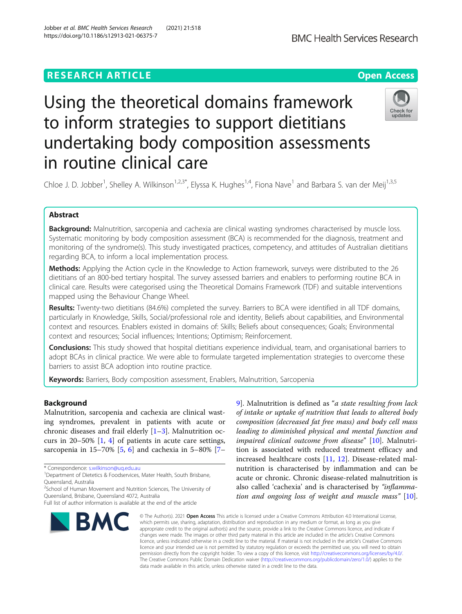# Using the theoretical domains framework to inform strategies to support dietitians undertaking body composition assessments in routine clinical care



Chloe J. D. Jobber<sup>1</sup>, Shelley A. Wilkinson<sup>1,2,3\*</sup>, Elyssa K. Hughes<sup>1,4</sup>, Fiona Nave<sup>1</sup> and Barbara S. van der Meij<sup>1,3,5</sup>

## Abstract

Background: Malnutrition, sarcopenia and cachexia are clinical wasting syndromes characterised by muscle loss. Systematic monitoring by body composition assessment (BCA) is recommended for the diagnosis, treatment and monitoring of the syndrome(s). This study investigated practices, competency, and attitudes of Australian dietitians regarding BCA, to inform a local implementation process.

Methods: Applying the Action cycle in the Knowledge to Action framework, surveys were distributed to the 26 dietitians of an 800-bed tertiary hospital. The survey assessed barriers and enablers to performing routine BCA in clinical care. Results were categorised using the Theoretical Domains Framework (TDF) and suitable interventions mapped using the Behaviour Change Wheel.

Results: Twenty-two dietitians (84.6%) completed the survey. Barriers to BCA were identified in all TDF domains, particularly in Knowledge, Skills, Social/professional role and identity, Beliefs about capabilities, and Environmental context and resources. Enablers existed in domains of: Skills; Beliefs about consequences; Goals; Environmental context and resources; Social influences; Intentions; Optimism; Reinforcement.

**Conclusions:** This study showed that hospital dietitians experience individual, team, and organisational barriers to adopt BCAs in clinical practice. We were able to formulate targeted implementation strategies to overcome these barriers to assist BCA adoption into routine practice.

Keywords: Barriers, Body composition assessment, Enablers, Malnutrition, Sarcopenia

## Background

Malnutrition, sarcopenia and cachexia are clinical wasting syndromes, prevalent in patients with acute or chronic diseases and frail elderly  $[1-3]$  $[1-3]$  $[1-3]$  $[1-3]$ . Malnutrition occurs in 20–50% [[1,](#page-11-0) [4\]](#page-11-0) of patients in acute care settings, sarcopenia in 15–70% [\[5](#page-11-0), [6](#page-11-0)] and cachexia in 5–80% [[7](#page-11-0)–

<sup>2</sup>School of Human Movement and Nutrition Sciences, The University of Queensland, Brisbane, Queensland 4072, Australia

Full list of author information is available at the end of the article



[9\]](#page-11-0). Malnutrition is defined as "a state resulting from lack of intake or uptake of nutrition that leads to altered body composition (decreased fat free mass) and body cell mass leading to diminished physical and mental function and impaired clinical outcome from disease" [[10](#page-11-0)]. Malnutrition is associated with reduced treatment efficacy and increased healthcare costs [[11](#page-11-0), [12](#page-11-0)]. Disease-related malnutrition is characterised by inflammation and can be acute or chronic. Chronic disease-related malnutrition is also called 'cachexia' and is characterised by "inflammation and ongoing loss of weight and muscle mass" [\[10](#page-11-0)].

© The Author(s), 2021 **Open Access** This article is licensed under a Creative Commons Attribution 4.0 International License, which permits use, sharing, adaptation, distribution and reproduction in any medium or format, as long as you give appropriate credit to the original author(s) and the source, provide a link to the Creative Commons licence, and indicate if changes were made. The images or other third party material in this article are included in the article's Creative Commons licence, unless indicated otherwise in a credit line to the material. If material is not included in the article's Creative Commons licence and your intended use is not permitted by statutory regulation or exceeds the permitted use, you will need to obtain permission directly from the copyright holder. To view a copy of this licence, visit [http://creativecommons.org/licenses/by/4.0/.](http://creativecommons.org/licenses/by/4.0/) The Creative Commons Public Domain Dedication waiver [\(http://creativecommons.org/publicdomain/zero/1.0/](http://creativecommons.org/publicdomain/zero/1.0/)) applies to the data made available in this article, unless otherwise stated in a credit line to the data.

<sup>\*</sup> Correspondence: [s.wilkinson@uq.edu.au](mailto:s.wilkinson@uq.edu.au) <sup>1</sup>

<sup>&</sup>lt;sup>1</sup>Department of Dietetics & Foodservices, Mater Health, South Brisbane, Queensland, Australia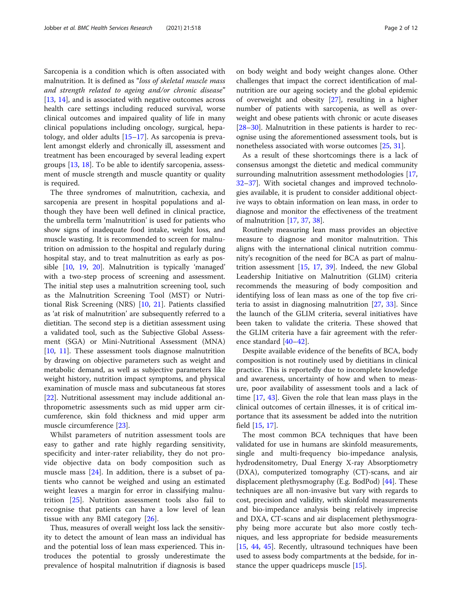Sarcopenia is a condition which is often associated with malnutrition. It is defined as "loss of skeletal muscle mass and strength related to ageing and/or chronic disease" [[13,](#page-11-0) [14\]](#page-11-0), and is associated with negative outcomes across health care settings including reduced survival, worse clinical outcomes and impaired quality of life in many clinical populations including oncology, surgical, hepatology, and older adults  $[15-17]$  $[15-17]$  $[15-17]$  $[15-17]$ . As sarcopenia is prevalent amongst elderly and chronically ill, assessment and treatment has been encouraged by several leading expert groups [[13](#page-11-0), [18](#page-11-0)]. To be able to identify sarcopenia, assessment of muscle strength and muscle quantity or quality is required.

The three syndromes of malnutrition, cachexia, and sarcopenia are present in hospital populations and although they have been well defined in clinical practice, the umbrella term 'malnutrition' is used for patients who show signs of inadequate food intake, weight loss, and muscle wasting. It is recommended to screen for malnutrition on admission to the hospital and regularly during hospital stay, and to treat malnutrition as early as possible [[10,](#page-11-0) [19,](#page-11-0) [20](#page-11-0)]. Malnutrition is typically 'managed' with a two-step process of screening and assessment. The initial step uses a malnutrition screening tool, such as the Malnutrition Screening Tool (MST) or Nutritional Risk Screening (NRS) [[10,](#page-11-0) [21\]](#page-11-0). Patients classified as 'at risk of malnutrition' are subsequently referred to a dietitian. The second step is a dietitian assessment using a validated tool, such as the Subjective Global Assessment (SGA) or Mini-Nutritional Assessment (MNA) [[10,](#page-11-0) [11](#page-11-0)]. These assessment tools diagnose malnutrition by drawing on objective parameters such as weight and metabolic demand, as well as subjective parameters like weight history, nutrition impact symptoms, and physical examination of muscle mass and subcutaneous fat stores [[22\]](#page-11-0). Nutritional assessment may include additional anthropometric assessments such as mid upper arm circumference, skin fold thickness and mid upper arm muscle circumference [\[23](#page-11-0)].

Whilst parameters of nutrition assessment tools are easy to gather and rate highly regarding sensitivity, specificity and inter-rater reliability, they do not provide objective data on body composition such as muscle mass  $[24]$  $[24]$ . In addition, there is a subset of patients who cannot be weighed and using an estimated weight leaves a margin for error in classifying malnutrition [[25\]](#page-11-0). Nutrition assessment tools also fail to recognise that patients can have a low level of lean tissue with any BMI category [\[26](#page-11-0)].

Thus, measures of overall weight loss lack the sensitivity to detect the amount of lean mass an individual has and the potential loss of lean mass experienced. This introduces the potential to grossly underestimate the prevalence of hospital malnutrition if diagnosis is based on body weight and body weight changes alone. Other challenges that impact the correct identification of malnutrition are our ageing society and the global epidemic of overweight and obesity [[27\]](#page-11-0), resulting in a higher number of patients with sarcopenia, as well as overweight and obese patients with chronic or acute diseases [[28](#page-11-0)–[30](#page-11-0)]. Malnutrition in these patients is harder to recognise using the aforementioned assessment tools, but is nonetheless associated with worse outcomes [[25,](#page-11-0) [31](#page-11-0)].

As a result of these shortcomings there is a lack of consensus amongst the dietetic and medical community surrounding malnutrition assessment methodologies [[17](#page-11-0), [32](#page-11-0)–[37](#page-11-0)]. With societal changes and improved technologies available, it is prudent to consider additional objective ways to obtain information on lean mass, in order to diagnose and monitor the effectiveness of the treatment of malnutrition [\[17](#page-11-0), [37,](#page-11-0) [38\]](#page-12-0).

Routinely measuring lean mass provides an objective measure to diagnose and monitor malnutrition. This aligns with the international clinical nutrition community's recognition of the need for BCA as part of malnutrition assessment  $[15, 17, 39]$  $[15, 17, 39]$  $[15, 17, 39]$  $[15, 17, 39]$  $[15, 17, 39]$ . Indeed, the new Global Leadership Initiative on Malnutrition (GLIM) criteria recommends the measuring of body composition and identifying loss of lean mass as one of the top five criteria to assist in diagnosing malnutrition [\[27,](#page-11-0) [33\]](#page-11-0). Since the launch of the GLIM criteria, several initiatives have been taken to validate the criteria. These showed that the GLIM criteria have a fair agreement with the reference standard [[40](#page-12-0)–[42](#page-12-0)].

Despite available evidence of the benefits of BCA, body composition is not routinely used by dietitians in clinical practice. This is reportedly due to incomplete knowledge and awareness, uncertainty of how and when to measure, poor availability of assessment tools and a lack of time [[17](#page-11-0), [43\]](#page-12-0). Given the role that lean mass plays in the clinical outcomes of certain illnesses, it is of critical importance that its assessment be added into the nutrition field [\[15](#page-11-0), [17](#page-11-0)].

The most common BCA techniques that have been validated for use in humans are skinfold measurements, single and multi-frequency bio-impedance analysis, hydrodensitometry, Dual Energy X-ray Absorptiometry (DXA), computerized tomography (CT)-scans, and air displacement plethysmography (E.g. BodPod) [\[44\]](#page-12-0). These techniques are all non-invasive but vary with regards to cost, precision and validity, with skinfold measurements and bio-impedance analysis being relatively imprecise and DXA, CT-scans and air displacement plethysmography being more accurate but also more costly techniques, and less appropriate for bedside measurements [[15,](#page-11-0) [44,](#page-12-0) [45\]](#page-12-0). Recently, ultrasound techniques have been used to assess body compartments at the bedside, for instance the upper quadriceps muscle [[15](#page-11-0)].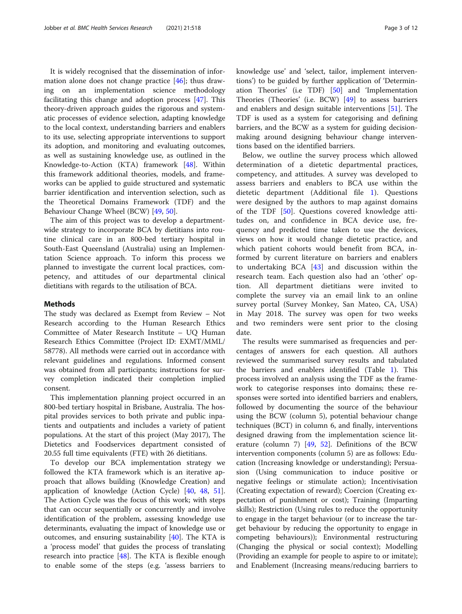It is widely recognised that the dissemination of information alone does not change practice  $[46]$  $[46]$ ; thus drawing on an implementation science methodology facilitating this change and adoption process  $[47]$  $[47]$ . This theory-driven approach guides the rigorous and systematic processes of evidence selection, adapting knowledge to the local context, understanding barriers and enablers to its use, selecting appropriate interventions to support its adoption, and monitoring and evaluating outcomes, as well as sustaining knowledge use, as outlined in the Knowledge-to-Action (KTA) framework [[48](#page-12-0)]. Within this framework additional theories, models, and frameworks can be applied to guide structured and systematic barrier identification and intervention selection, such as the Theoretical Domains Framework (TDF) and the Behaviour Change Wheel (BCW) [[49,](#page-12-0) [50\]](#page-12-0).

The aim of this project was to develop a departmentwide strategy to incorporate BCA by dietitians into routine clinical care in an 800-bed tertiary hospital in South-East Queensland (Australia) using an Implementation Science approach. To inform this process we planned to investigate the current local practices, competency, and attitudes of our departmental clinical dietitians with regards to the utilisation of BCA.

#### Methods

The study was declared as Exempt from Review – Not Research according to the Human Research Ethics Committee of Mater Research Institute – UQ Human Research Ethics Committee (Project ID: EXMT/MML/ 58778). All methods were carried out in accordance with relevant guidelines and regulations. Informed consent was obtained from all participants; instructions for survey completion indicated their completion implied consent.

This implementation planning project occurred in an 800-bed tertiary hospital in Brisbane, Australia. The hospital provides services to both private and public inpatients and outpatients and includes a variety of patient populations. At the start of this project (May 2017), The Dietetics and Foodservices department consisted of 20.55 full time equivalents (FTE) with 26 dietitians.

To develop our BCA implementation strategy we followed the KTA framework which is an iterative approach that allows building (Knowledge Creation) and application of knowledge (Action Cycle) [\[40](#page-12-0), [48,](#page-12-0) [51](#page-12-0)]. The Action Cycle was the focus of this work; with steps that can occur sequentially or concurrently and involve identification of the problem, assessing knowledge use determinants, evaluating the impact of knowledge use or outcomes, and ensuring sustainability  $[40]$  $[40]$ . The KTA is a 'process model' that guides the process of translating research into practice  $[48]$  $[48]$ . The KTA is flexible enough to enable some of the steps (e.g. 'assess barriers to knowledge use' and 'select, tailor, implement interventions') to be guided by further application of 'Determination Theories' (i.e TDF) [[50\]](#page-12-0) and 'Implementation Theories (Theories' (i.e. BCW) [[49\]](#page-12-0) to assess barriers and enablers and design suitable interventions [[51](#page-12-0)]. The TDF is used as a system for categorising and defining barriers, and the BCW as a system for guiding decisionmaking around designing behaviour change interventions based on the identified barriers.

Below, we outline the survey process which allowed determination of a dietetic departmental practices, competency, and attitudes. A survey was developed to assess barriers and enablers to BCA use within the dietetic department (Additional file [1\)](#page-10-0). Questions were designed by the authors to map against domains of the TDF [[50\]](#page-12-0). Questions covered knowledge attitudes on, and confidence in BCA device use, frequency and predicted time taken to use the devices, views on how it would change dietetic practice, and which patient cohorts would benefit from BCA, informed by current literature on barriers and enablers to undertaking BCA [\[43](#page-12-0)] and discussion within the research team. Each question also had an 'other' option. All department dietitians were invited to complete the survey via an email link to an online survey portal (Survey Monkey, San Mateo, CA, USA) in May 2018. The survey was open for two weeks and two reminders were sent prior to the closing date.

The results were summarised as frequencies and percentages of answers for each question. All authors reviewed the summarised survey results and tabulated the barriers and enablers identified (Table [1](#page-4-0)). This process involved an analysis using the TDF as the framework to categorise responses into domains; these responses were sorted into identified barriers and enablers, followed by documenting the source of the behaviour using the BCW (column 5), potential behaviour change techniques (BCT) in column 6, and finally, interventions designed drawing from the implementation science literature (column 7) [[49,](#page-12-0) [52\]](#page-12-0). Definitions of the BCW intervention components (column 5) are as follows: Education (Increasing knowledge or understanding); Persuasion (Using communication to induce positive or negative feelings or stimulate action); Incentivisation (Creating expectation of reward); Coercion (Creating expectation of punishment or cost); Training (Imparting skills); Restriction (Using rules to reduce the opportunity to engage in the target behaviour (or to increase the target behaviour by reducing the opportunity to engage in competing behaviours)); Environmental restructuring (Changing the physical or social context); Modelling (Providing an example for people to aspire to or imitate); and Enablement (Increasing means/reducing barriers to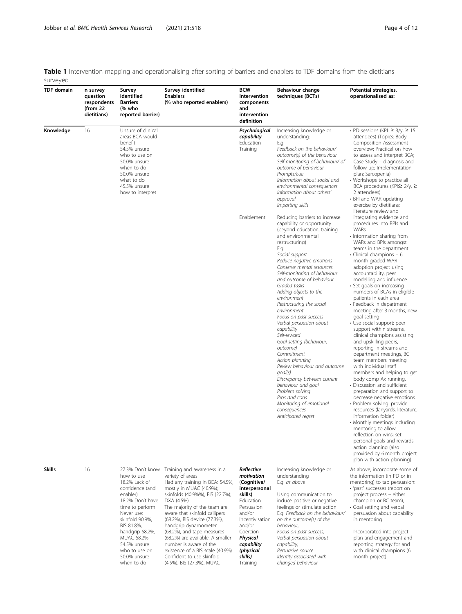<span id="page-4-0"></span>Table 1 Intervention mapping and operationalising after sorting of barriers and enablers to TDF domains from the dietitians surveyed

| <b>TDF</b> domain | n survey<br>auestion<br>respondents<br>(from $22$<br>dietitians) | Survey<br>identified<br><b>Barriers</b><br>(% who<br>reported barrier)                                                                                                                                                                                               | Survey identified<br><b>Enablers</b><br>(% who reported enablers)                                                                                                                                                                                                                                                                                                                                                                                                                  | <b>BCW</b><br>Intervention<br>components<br>and<br>intervention<br>definition                                                                                                                                   | Behaviour change<br>techniques (BCTs)                                                                                                                                                                                                                                                                                                                                                                                                                                                                                                                                                                                                                                                                                                                | Potential strategies,<br>operationalised as:                                                                                                                                                                                                                                                                                                                                                                                                                                                                                                                                                                                                                                                                                                                                                                                                                                                                                                                                                                                                                                                                                           |
|-------------------|------------------------------------------------------------------|----------------------------------------------------------------------------------------------------------------------------------------------------------------------------------------------------------------------------------------------------------------------|------------------------------------------------------------------------------------------------------------------------------------------------------------------------------------------------------------------------------------------------------------------------------------------------------------------------------------------------------------------------------------------------------------------------------------------------------------------------------------|-----------------------------------------------------------------------------------------------------------------------------------------------------------------------------------------------------------------|------------------------------------------------------------------------------------------------------------------------------------------------------------------------------------------------------------------------------------------------------------------------------------------------------------------------------------------------------------------------------------------------------------------------------------------------------------------------------------------------------------------------------------------------------------------------------------------------------------------------------------------------------------------------------------------------------------------------------------------------------|----------------------------------------------------------------------------------------------------------------------------------------------------------------------------------------------------------------------------------------------------------------------------------------------------------------------------------------------------------------------------------------------------------------------------------------------------------------------------------------------------------------------------------------------------------------------------------------------------------------------------------------------------------------------------------------------------------------------------------------------------------------------------------------------------------------------------------------------------------------------------------------------------------------------------------------------------------------------------------------------------------------------------------------------------------------------------------------------------------------------------------------|
| Knowledge         | 16                                                               | Unsure of clinical<br>areas BCA would<br>benefit<br>54.5% unsure<br>who to use on<br>50.0% unsure<br>when to do<br>50.0% unsure<br>what to do<br>45.5% unsure<br>how to interpret                                                                                    |                                                                                                                                                                                                                                                                                                                                                                                                                                                                                    | Psychological<br>capability<br>Education<br>Training                                                                                                                                                            | Increasing knowledge or<br>understanding:<br>E.g.<br>Feedback on the behaviour/<br>outcome(s) of the behaviour<br>Self-monitoring of behaviour/ of<br>outcome of behaviour<br>Prompts/cue<br>Information about social and<br>environmental consequences<br>Information about others'<br>approval<br>Imparting skills                                                                                                                                                                                                                                                                                                                                                                                                                                 | • PD sessions (KPI: $\geq$ 3/y, $\geq$ 15<br>attendees) (Topics: Body<br>Composition Assessment -<br>overview; Practical on how<br>to assess and interpret BCA;<br>Case Study - diagnosis and<br>follow up; Implementation<br>plan; Sarcopenia)<br>• Workshops to practice all<br>BCA procedures (KPI: $\geq$ 2/y, $\geq$<br>2 attendees)<br>• BPI and WAR updating<br>exercise by dietitians:<br>literature review and                                                                                                                                                                                                                                                                                                                                                                                                                                                                                                                                                                                                                                                                                                                |
|                   |                                                                  |                                                                                                                                                                                                                                                                      |                                                                                                                                                                                                                                                                                                                                                                                                                                                                                    | Enablement                                                                                                                                                                                                      | Reducing barriers to increase<br>capability or opportunity<br>(beyond education, training<br>and environmental<br>restructuring)<br>E.g.<br>Social support<br>Reduce negative emotions<br>Conserve mental resources<br>Self-monitoring of behaviour<br>and outcome of behaviour<br>Graded tasks<br>Adding objects to the<br>environment<br>Restructuring the social<br>environment<br>Focus on past success<br>Verbal persuasion about<br>capability<br>Self-reward<br>Goal setting (behaviour,<br>outcome)<br>Commitment<br>Action planning<br>Review behaviour and outcome<br>$q$ oal(s)<br>Discrepancy between current<br>behaviour and goal<br>Problem solving<br>Pros and cons<br>Monitoring of emotional<br>consequences<br>Anticipated regret | integrating evidence and<br>procedures into BPIs and<br><b>WARs</b><br>• Information sharing from<br>WARs and BPIs amongst<br>teams in the department<br>$\cdot$ Clinical champions $-6$<br>month graded WAR<br>adoption project using<br>accountability, peer<br>modelling and influence.<br>• Set goals on increasing<br>numbers of BCAs in eligible<br>patients in each area<br>• Feedback in department<br>meeting after 3 months, new<br>goal setting<br>· Use social support: peer<br>support within streams,<br>clinical champions assisting<br>and upskilling peers,<br>reporting in streams and<br>department meetings, BC<br>team members meeting<br>with individual staff<br>members and helping to get<br>body comp Ax running.<br>• Discussion and sufficient<br>preparation and support to<br>decrease negative emotions.<br>· Problem solving: provide<br>resources (lanyards, literature,<br>information folder)<br>• Monthly meetings including<br>mentoring to allow<br>reflection on wins; set<br>personal goals and rewards;<br>action planning (also<br>provided by 6 month project<br>plan with action planning) |
| Skills            | 16                                                               | 27.3% Don't know<br>how to use<br>18.2% Lack of<br>confidence (and<br>enabler)<br>18.2% Don't have<br>time to perform<br>Never use:<br>skinfold 90.9%,<br>BIS 81.8%,<br>handgrip 68.2%,<br>MUAC 68.2%<br>54.5% unsure<br>who to use on<br>50.0% unsure<br>when to do | Training and awareness in a<br>variety of areas<br>Had any training in BCA: 54.5%,<br>mostly in MUAC (40.9%);<br>skinfolds (40.9%%), BIS (22.7%);<br>DXA (4.5%)<br>The majority of the team are<br>aware that skinfold callipers<br>(68.2%), BIS device (77.3%),<br>handgrip dynamometer<br>(68.2%), and tape measures<br>(68.2%) are available. A smaller<br>number is aware of the<br>existence of a BIS scale (40.9%)<br>Confident to use skinfold<br>(4.5%), BIS (27.3%), MUAC | Reflective<br>motivation<br>(Cognitive/<br>interpersonal<br>skills)<br>Education<br>Persuasion<br>and/or<br>Incentivisation<br>and/or<br>Coercion<br>Physical<br>capability<br>(physical<br>skills)<br>Training | Increasing knowledge or<br>understanding<br>E.g. as above<br>Using communication to<br>induce positive or negative<br>feelings or stimulate action<br>E.g. Feedback on the behaviour/<br>on the outcome(s) of the<br>behaviour,<br>Focus on past success,<br>Verbal persuasion about<br>capability,<br>Persuasive source<br>Identity associated with<br>changed behaviour                                                                                                                                                                                                                                                                                                                                                                            | As above; incorporate some of<br>the information (in PD or in<br>mentoring) to tap persuasion:<br>· 'past' successes (report on<br>project process - either<br>champion or BC team),<br>· Goal setting and verbal<br>persuasion about capability<br>in mentoring<br>Incorporated into project<br>plan and engagement and<br>reporting strategy for and<br>with clinical champions (6<br>month project)                                                                                                                                                                                                                                                                                                                                                                                                                                                                                                                                                                                                                                                                                                                                 |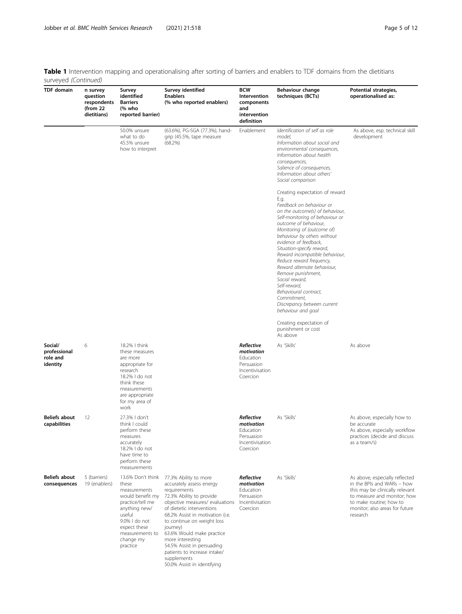Table 1 Intervention mapping and operationalising after sorting of barriers and enablers to TDF domains from the dietitians surveyed (Continued)

| <b>TDF</b> domain                               | n survey<br>question<br>respondents<br>(from 22<br>dietitians) | Survey<br>identified<br><b>Barriers</b><br>(% who<br>reported barrier)                                                                                                                     | Survey identified<br><b>Enablers</b><br>(% who reported enablers)                                                                                                                                                                                                                                                                                                                                        | <b>BCW</b><br>Intervention<br>components<br>and<br>intervention<br>definition      | Behaviour change<br>techniques (BCTs)                                                                                                                                                                                                                                                                                                                                                                                                                                                                                                  | Potential strategies,<br>operationalised as:                                                                                                                                                            |
|-------------------------------------------------|----------------------------------------------------------------|--------------------------------------------------------------------------------------------------------------------------------------------------------------------------------------------|----------------------------------------------------------------------------------------------------------------------------------------------------------------------------------------------------------------------------------------------------------------------------------------------------------------------------------------------------------------------------------------------------------|------------------------------------------------------------------------------------|----------------------------------------------------------------------------------------------------------------------------------------------------------------------------------------------------------------------------------------------------------------------------------------------------------------------------------------------------------------------------------------------------------------------------------------------------------------------------------------------------------------------------------------|---------------------------------------------------------------------------------------------------------------------------------------------------------------------------------------------------------|
|                                                 |                                                                | 50.0% unsure<br>what to do<br>45.5% unsure<br>how to interpret                                                                                                                             | (63.6%), PG-SGA (77.3%), hand-<br>grip (45.5%, tape measure<br>(68.2%)                                                                                                                                                                                                                                                                                                                                   | Enablement                                                                         | Identification of self as role<br>model.<br>Information about social and<br>environmental consequences,<br>Information about health<br>consequences,<br>Salience of consequences,<br>Information about others'<br>Social comparison                                                                                                                                                                                                                                                                                                    | As above, esp. technical skill<br>development                                                                                                                                                           |
|                                                 |                                                                |                                                                                                                                                                                            |                                                                                                                                                                                                                                                                                                                                                                                                          |                                                                                    | Creating expectation of reward<br>E.g.<br>Feedback on behaviour or<br>on the outcome(s) of behaviour,<br>Self-monitoring of behaviour or<br>outcome of behaviour,<br>Monitoring of (outcome of)<br>behaviour by others without<br>evidence of feedback,<br>Situation-specify reward,<br>Reward incompatible behaviour,<br>Reduce reward frequency,<br>Reward alternate behaviour,<br>Remove punishment,<br>Social reward,<br>Self-reward,<br>Behavioural contract,<br>Commitment.<br>Discrepancy between current<br>behaviour and goal |                                                                                                                                                                                                         |
|                                                 |                                                                |                                                                                                                                                                                            |                                                                                                                                                                                                                                                                                                                                                                                                          |                                                                                    | Creating expectation of<br>punishment or cost<br>As above                                                                                                                                                                                                                                                                                                                                                                                                                                                                              |                                                                                                                                                                                                         |
| Social/<br>professional<br>role and<br>identity | 6                                                              | 18.2%   think<br>these measures<br>are more<br>appropriate for<br>research<br>18.2% I do not<br>think these<br>measurements<br>are appropriate<br>for my area of<br>work                   |                                                                                                                                                                                                                                                                                                                                                                                                          | Reflective<br>motivation<br>Education<br>Persuasion<br>Incentivisation<br>Coercion | As 'Skills'                                                                                                                                                                                                                                                                                                                                                                                                                                                                                                                            | As above                                                                                                                                                                                                |
| <b>Beliefs about</b><br>capabilities            | 12                                                             | 27.3%   don't<br>think I could<br>perform these<br>measures<br>accurately<br>18.2%   do not<br>have time to<br>perform these<br>measurements                                               |                                                                                                                                                                                                                                                                                                                                                                                                          | Reflective<br>motivation<br>Education<br>Persuasion<br>Incentivisation<br>Coercion | As 'Skills'                                                                                                                                                                                                                                                                                                                                                                                                                                                                                                                            | As above, especially how to<br>be accurate<br>As above, especially workflow<br>practices (decide and discuss<br>as a team/s)                                                                            |
| <b>Beliefs about</b><br>consequences            | 5 (barriers)<br>19 (enablers)                                  | 13.6% Don't think<br>these<br>measurements<br>would benefit my<br>practice/tell me<br>anything new/<br>useful<br>9.0%   do not<br>expect these<br>measurements to<br>change my<br>practice | 77.3% Ability to more<br>accurately assess energy<br>requirements<br>72.3% Ability to provide<br>objective measures/ evaluations<br>of dietetic interventions<br>68.2% Assist in motivation (i.e.<br>to continue on weight loss<br>journey)<br>63.6% Would make practice<br>more interesting<br>54.5% Assist in persuading<br>patients to increase intake/<br>supplements<br>50.0% Assist in identifying | Reflective<br>motivation<br>Education<br>Persuasion<br>Incentivisation<br>Coercion | As 'Skills'                                                                                                                                                                                                                                                                                                                                                                                                                                                                                                                            | As above, especially reflected<br>in the BPIs and WARs - how<br>this may be clinically relevant<br>to measure and monitor; how<br>to make routine; how to<br>monitor; also areas for future<br>research |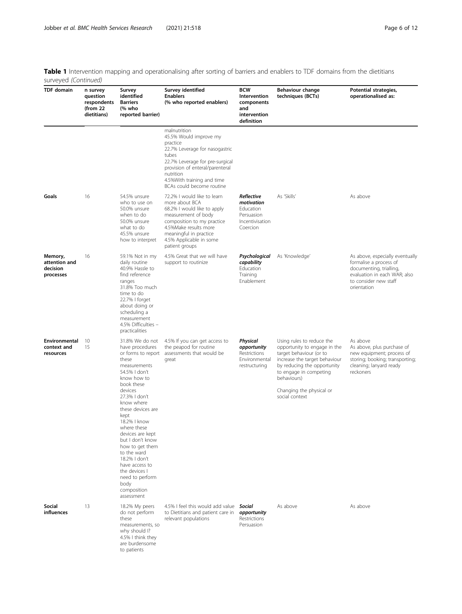Table 1 Intervention mapping and operationalising after sorting of barriers and enablers to TDF domains from the dietitians surveyed (Continued)

| surveyed (Communed)                               |                                                                |                                                                                                                                                                                                                                                                                                                                                                                                                             |                                                                                                                                                                                                                                             |                                                                                    |                                                                                                                                                                                                                                             |                                                                                                                                                              |
|---------------------------------------------------|----------------------------------------------------------------|-----------------------------------------------------------------------------------------------------------------------------------------------------------------------------------------------------------------------------------------------------------------------------------------------------------------------------------------------------------------------------------------------------------------------------|---------------------------------------------------------------------------------------------------------------------------------------------------------------------------------------------------------------------------------------------|------------------------------------------------------------------------------------|---------------------------------------------------------------------------------------------------------------------------------------------------------------------------------------------------------------------------------------------|--------------------------------------------------------------------------------------------------------------------------------------------------------------|
| <b>TDF</b> domain                                 | n survey<br>question<br>respondents<br>(from 22<br>dietitians) | Survey<br>identified<br><b>Barriers</b><br>(% who<br>reported barrier)                                                                                                                                                                                                                                                                                                                                                      | Survey identified<br><b>Enablers</b><br>(% who reported enablers)                                                                                                                                                                           | <b>BCW</b><br>Intervention<br>components<br>and<br>intervention<br>definition      | <b>Behaviour change</b><br>techniques (BCTs)                                                                                                                                                                                                | Potential strategies,<br>operationalised as:                                                                                                                 |
|                                                   |                                                                |                                                                                                                                                                                                                                                                                                                                                                                                                             | malnutrition<br>45.5% Would improve my<br>practice<br>22.7% Leverage for nasogastric<br>tubes<br>22.7% Leverage for pre-surgical<br>provision of enteral/parenteral<br>nutrition<br>4.5%With training and time<br>BCAs could become routine |                                                                                    |                                                                                                                                                                                                                                             |                                                                                                                                                              |
| Goals                                             | 16                                                             | 54.5% unsure<br>who to use on<br>50.0% unsure<br>when to do<br>50.0% unsure<br>what to do<br>45.5% unsure<br>how to interpret                                                                                                                                                                                                                                                                                               | 72.2% I would like to learn<br>more about BCA<br>68.2% I would like to apply<br>measurement of body<br>composition to my practice<br>4.5%Make results more<br>meaningful in practice<br>4.5% Applicable in some<br>patient groups           | Reflective<br>motivation<br>Education<br>Persuasion<br>Incentivisation<br>Coercion | As 'Skills'                                                                                                                                                                                                                                 | As above                                                                                                                                                     |
| Memory,<br>attention and<br>decision<br>processes | 16                                                             | 59.1% Not in my<br>daily routine<br>40.9% Hassle to<br>find reference<br>ranges<br>31.8% Too much<br>time to do<br>22.7%   forget<br>about doing or<br>scheduling a<br>measurement<br>4.5% Difficulties -<br>practicalities                                                                                                                                                                                                 | 4.5% Great that we will have<br>support to routinize                                                                                                                                                                                        | Psychological<br>capability<br>Education<br>Training<br>Enablement                 | As 'Knowledge'                                                                                                                                                                                                                              | As above, especially eventually<br>formalise a process of<br>documenting, trialling,<br>evaluation in each WAR; also<br>to consider new staff<br>orientation |
| Environmental<br>context and<br>resources         | 10<br>15                                                       | 31.8% We do not<br>have procedures<br>or forms to report<br>these<br>measurements<br>54.5%   don't<br>know how to<br>book these<br>devices<br>27.3%   don't<br>know where<br>these devices are<br>kept<br>18.2%   know<br>where these<br>devices are kept<br>but I don't know<br>how to get them<br>to the ward<br>18.2%   don't<br>have access to<br>the devices I<br>need to perform<br>body<br>composition<br>assessment | 4.5% If you can get access to<br>the peapod for routine<br>assessments that would be<br>great                                                                                                                                               | Physical<br>opportunity<br>Restrictions<br>Environmental<br>restructuring          | Using rules to reduce the<br>opportunity to engage in the<br>target behaviour (or to<br>increase the target behaviour<br>by reducing the opportunity<br>to engage in competing<br>behaviours)<br>Changing the physical or<br>social context | As above<br>As above, plus purchase of<br>new equipment; process of<br>storing; booking; transporting;<br>cleaning; lanyard ready<br>reckoners               |
| Social<br>influences                              | 13                                                             | 18.2% My peers<br>do not perform<br>these<br>measurements, so<br>why should I?<br>4.5% I think they<br>are burdensome<br>to patients                                                                                                                                                                                                                                                                                        | 4.5% I feel this would add value<br>to Dietitians and patient care in<br>relevant populations                                                                                                                                               | Social<br>opportunity<br>Restrictions<br>Persuasion                                | As above                                                                                                                                                                                                                                    | As above                                                                                                                                                     |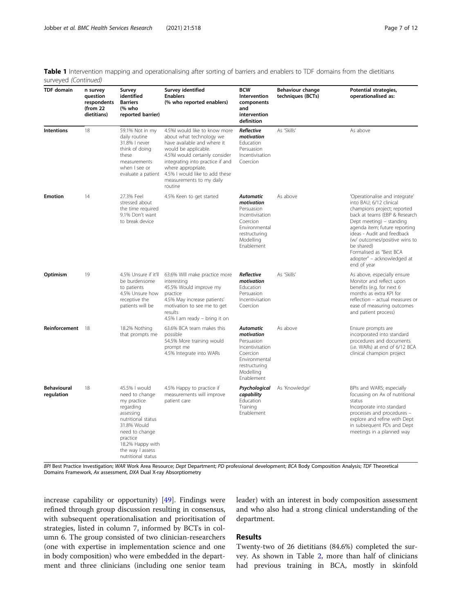Table 1 Intervention mapping and operationalising after sorting of barriers and enablers to TDF domains from the dietitians surveyed (Continued)

| <b>TDF</b> domain                | n survey<br>question<br>respondents<br>(from 22<br>dietitians) | Survey<br>identified<br><b>Barriers</b><br>(% who<br>reported barrier)                                                                                                              | Survey identified<br><b>Enablers</b><br>(% who reported enablers)                                                                                                                                                                                                                     | <b>BCW</b><br>Intervention<br>components<br>and<br>intervention<br>definition                                                            | Behaviour change<br>techniques (BCTs) | <b>Potential strategies,</b><br>operationalised as:                                                                                                                                                                                                                                                                                         |
|----------------------------------|----------------------------------------------------------------|-------------------------------------------------------------------------------------------------------------------------------------------------------------------------------------|---------------------------------------------------------------------------------------------------------------------------------------------------------------------------------------------------------------------------------------------------------------------------------------|------------------------------------------------------------------------------------------------------------------------------------------|---------------------------------------|---------------------------------------------------------------------------------------------------------------------------------------------------------------------------------------------------------------------------------------------------------------------------------------------------------------------------------------------|
| <b>Intentions</b>                | 18                                                             | 59.1% Not in my<br>daily routine<br>31.8%   never<br>think of doing<br>these<br>measurements<br>when I see or<br>evaluate a patient                                                 | 4.5%I would like to know more<br>about what technology we<br>have available and where it<br>would be applicable.<br>4.5%I would certainly consider<br>integrating into practice if and<br>where appropriate.<br>4.5% I would like to add these<br>measurements to my daily<br>routine | Reflective<br>motivation<br>Education<br>Persuasion<br>Incentivisation<br>Coercion                                                       | As 'Skills'                           | As above                                                                                                                                                                                                                                                                                                                                    |
| <b>Emotion</b>                   | 14                                                             | 27.3% Feel<br>stressed about<br>the time required<br>9.1% Don't want<br>to break device                                                                                             | 4.5% Keen to get started                                                                                                                                                                                                                                                              | <b>Automatic</b><br>motivation<br>Persuasion<br>Incentivisation<br>Coercion<br>Environmental<br>restructuring<br>Modelling<br>Enablement | As above                              | 'Operationalise and integrate'<br>into BAU; 6/12 clinical<br>champions project; reported<br>back at teams (EBP & Research<br>Dept meeting) – standing<br>agenda item; future reporting<br>ideas - Audit and feedback<br>(w/ outcomes/positive wins to<br>be shared)<br>Formalised as "Best BCA<br>adopter" – acknowledged at<br>end of year |
| Optimism                         | 19                                                             | 4.5% Unsure if it'll<br>be burdensome<br>to patients<br>4.5% Unsure how<br>receptive the<br>patients will be                                                                        | 63.6% Will make practice more<br>interesting<br>45.5% Would improve my<br>practice<br>4.5% May increase patients'<br>motivation to see me to get<br>results<br>4.5% I am ready – bring it on                                                                                          | Reflective<br>motivation<br>Education<br>Persuasion<br>Incentivisation<br>Coercion                                                       | As 'Skills'                           | As above, especially ensure<br>Monitor and reflect upon<br>benefits (e.g. for next 6<br>months as extra KPI for<br>reflection - actual measures or<br>ease of measuring outcomes<br>and patient process)                                                                                                                                    |
| Reinforcement 18                 |                                                                | 18.2% Nothing<br>that prompts me                                                                                                                                                    | 63.6% BCA team makes this<br>possible<br>54.5% More training would<br>prompt me<br>4.5% Integrate into WARs                                                                                                                                                                           | <b>Automatic</b><br>motivation<br>Persuasion<br>Incentivisation<br>Coercion<br>Environmental<br>restructuring<br>Modelling<br>Enablement | As above                              | Ensure prompts are<br>incorporated into standard<br>procedures and documents<br>(i.e. WARs) at end of 6/12 BCA<br>clinical champion project                                                                                                                                                                                                 |
| <b>Behavioural</b><br>regulation | 18                                                             | 45.5% I would<br>need to change<br>my practice<br>regarding<br>assessing<br>nutritional status<br>31.8% Would<br>need to change<br>practice<br>18.2% Happy with<br>the way I assess | 4.5% Happy to practice if<br>measurements will improve<br>patient care                                                                                                                                                                                                                | Psychological<br>capability<br>Education<br>Training<br>Enablement                                                                       | As 'Knowledge'                        | BPIs and WARS; especially<br>focussing on Ax of nutritional<br>status<br>Incorporate into standard<br>processes and procedures -<br>explore and refine with Dept<br>in subsequent PDs and Dept<br>meetings in a planned way                                                                                                                 |

BPI Best Practice Investigation; WAR Work Area Resource; Dept Department; PD professional development; BCA Body Composition Analysis; TDF Theoretical Domains Framework, Ax assessment, DXA Dual X-ray Absorptiometry

increase capability or opportunity) [[49](#page-12-0)]. Findings were refined through group discussion resulting in consensus, with subsequent operationalisation and prioritisation of strategies, listed in column 7, informed by BCTs in column 6. The group consisted of two clinician-researchers (one with expertise in implementation science and one in body composition) who were embedded in the department and three clinicians (including one senior team

nutritional status

leader) with an interest in body composition assessment and who also had a strong clinical understanding of the department.

### Results

Twenty-two of 26 dietitians (84.6%) completed the survey. As shown in Table [2](#page-8-0), more than half of clinicians had previous training in BCA, mostly in skinfold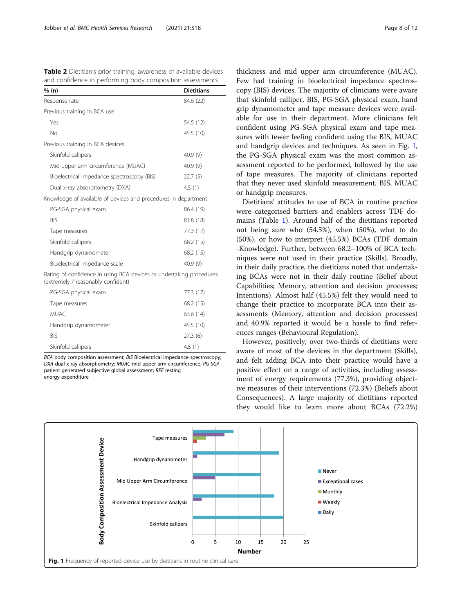<span id="page-8-0"></span>Table 2 Dietitian's prior training, awareness of available devices and confidence in performing body composition assessments

| % (n)                                                                                                     | <b>Dietitians</b> |  |  |
|-----------------------------------------------------------------------------------------------------------|-------------------|--|--|
| Response rate                                                                                             | 84.6 (22)         |  |  |
| Previous training in BCA use                                                                              |                   |  |  |
| Yes                                                                                                       | 54.5 (12)         |  |  |
| No                                                                                                        | 45.5 (10)         |  |  |
| Previous training in BCA devices                                                                          |                   |  |  |
| Skinfold callipers                                                                                        | 40.9 (9)          |  |  |
| Mid-upper arm circumference (MUAC)                                                                        | 40.9(9)           |  |  |
| Bioelectrical impedance spectroscopy (BIS)                                                                | 22.7(5)           |  |  |
| Dual x-ray absorptiometry (DXA)                                                                           | 4.5(1)            |  |  |
| Knowledge of available of devices and procedures in department                                            |                   |  |  |
| PG-SGA physical exam                                                                                      | 86.4 (19)         |  |  |
| <b>BIS</b>                                                                                                | 81.8 (18)         |  |  |
| Tape measures                                                                                             | 77.3 (17)         |  |  |
| Skinfold callipers                                                                                        | 68.2 (15)         |  |  |
| Handgrip dynamometer                                                                                      | 68.2 (15)         |  |  |
| 40.9 (9)<br>Bioelectrical impedance scale                                                                 |                   |  |  |
| Rating of confidence in using BCA devices or undertaking procedures<br>(extremely / reasonably confident) |                   |  |  |

| PG-SGA physical exam | 77.3 (17) |
|----------------------|-----------|
| Tape measures        | 68.2 (15) |
| MUAC.                | 63.6(14)  |
| Handgrip dynamometer | 45.5 (10) |
| <b>BIS</b>           | 27.3(6)   |
| Skinfold callipers   | 4.5(1)    |

BCA body composition assessment; BIS Bioelectrical impedance spectroscopy; DXA dual x-ray absorptiometry; MUAC mid upper arm circumference; PG-SGA patient generated subjective global assessment; REE resting energy expenditure

thickness and mid upper arm circumference (MUAC). Few had training in bioelectrical impedance spectroscopy (BIS) devices. The majority of clinicians were aware that skinfold calliper, BIS, PG-SGA physical exam, hand grip dynamometer and tape measure devices were available for use in their department. More clinicians felt confident using PG-SGA physical exam and tape measures with fewer feeling confident using the BIS, MUAC and handgrip devices and techniques. As seen in Fig. 1, the PG-SGA physical exam was the most common assessment reported to be performed, followed by the use of tape measures. The majority of clinicians reported that they never used skinfold measurement, BIS, MUAC or handgrip measures.

Dietitians' attitudes to use of BCA in routine practice were categorised barriers and enablers across TDF domains (Table [1\)](#page-4-0). Around half of the dietitians reported not being sure who (54.5%), when (50%), what to do (50%), or how to interpret (45.5%) BCAs (TDF domain -Knowledge). Further, between 68.2–100% of BCA techniques were not used in their practice (Skills). Broadly, in their daily practice, the dietitians noted that undertaking BCAs were not in their daily routine (Belief about Capabilities; Memory, attention and decision processes; Intentions). Almost half (45.5%) felt they would need to change their practice to incorporate BCA into their assessments (Memory, attention and decision processes) and 40.9% reported it would be a hassle to find references ranges (Behavioural Regulation).

However, positively, over two-thirds of dietitians were aware of most of the devices in the department (Skills), and felt adding BCA into their practice would have a positive effect on a range of activities, including assessment of energy requirements (77.3%), providing objective measures of their interventions (72.3%) (Beliefs about Consequences). A large majority of dietitians reported they would like to learn more about BCAs (72.2%)

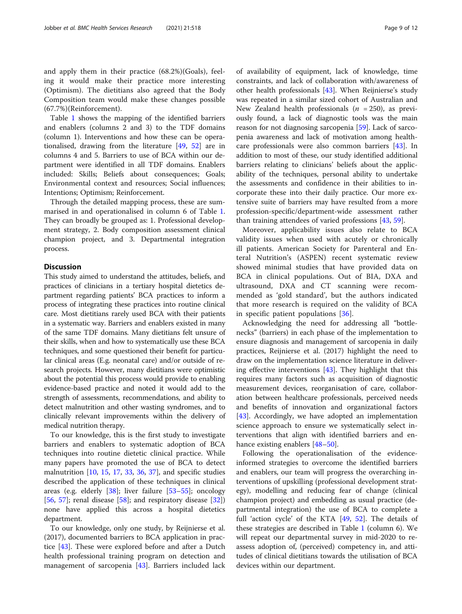and apply them in their practice (68.2%)(Goals), feeling it would make their practice more interesting (Optimism). The dietitians also agreed that the Body Composition team would make these changes possible (67.7%)(Reinforcement).

Table [1](#page-4-0) shows the mapping of the identified barriers and enablers (columns 2 and 3) to the TDF domains (column 1). Interventions and how these can be operationalised, drawing from the literature [[49,](#page-12-0) [52\]](#page-12-0) are in columns 4 and 5. Barriers to use of BCA within our department were identified in all TDF domains. Enablers included: Skills; Beliefs about consequences; Goals; Environmental context and resources; Social influences; Intentions; Optimism; Reinforcement.

Through the detailed mapping process, these are summarised in and operationalised in column 6 of Table [1](#page-4-0). They can broadly be grouped as: 1. Professional development strategy, 2. Body composition assessment clinical champion project, and 3. Departmental integration process.

#### **Discussion**

This study aimed to understand the attitudes, beliefs, and practices of clinicians in a tertiary hospital dietetics department regarding patients' BCA practices to inform a process of integrating these practices into routine clinical care. Most dietitians rarely used BCA with their patients in a systematic way. Barriers and enablers existed in many of the same TDF domains. Many dietitians felt unsure of their skills, when and how to systematically use these BCA techniques, and some questioned their benefit for particular clinical areas (E.g. neonatal care) and/or outside of research projects. However, many dietitians were optimistic about the potential this process would provide to enabling evidence-based practice and noted it would add to the strength of assessments, recommendations, and ability to detect malnutrition and other wasting syndromes, and to clinically relevant improvements within the delivery of medical nutrition therapy.

To our knowledge, this is the first study to investigate barriers and enablers to systematic adoption of BCA techniques into routine dietetic clinical practice. While many papers have promoted the use of BCA to detect malnutrition  $[10, 15, 17, 33, 36, 37]$  $[10, 15, 17, 33, 36, 37]$  $[10, 15, 17, 33, 36, 37]$  $[10, 15, 17, 33, 36, 37]$  $[10, 15, 17, 33, 36, 37]$  $[10, 15, 17, 33, 36, 37]$  $[10, 15, 17, 33, 36, 37]$  $[10, 15, 17, 33, 36, 37]$  $[10, 15, 17, 33, 36, 37]$  $[10, 15, 17, 33, 36, 37]$  $[10, 15, 17, 33, 36, 37]$  $[10, 15, 17, 33, 36, 37]$ , and specific studies described the application of these techniques in clinical areas (e.g. elderly [\[38\]](#page-12-0); liver failure [[53](#page-12-0)–[55](#page-12-0)]; oncology [[56,](#page-12-0) [57](#page-12-0)]; renal disease [[58\]](#page-12-0); and respiratory disease  $[32]$  $[32]$ ] none have applied this across a hospital dietetics department.

To our knowledge, only one study, by Reijnierse et al. (2017), documented barriers to BCA application in practice [\[43\]](#page-12-0). These were explored before and after a Dutch health professional training program on detection and management of sarcopenia [[43\]](#page-12-0). Barriers included lack

of availability of equipment, lack of knowledge, time constraints, and lack of collaboration with/awareness of other health professionals [\[43](#page-12-0)]. When Reijnierse's study was repeated in a similar sized cohort of Australian and New Zealand health professionals ( $n = 250$ ), as previously found, a lack of diagnostic tools was the main reason for not diagnosing sarcopenia [\[59](#page-12-0)]. Lack of sarcopenia awareness and lack of motivation among healthcare professionals were also common barriers [[43\]](#page-12-0). In addition to most of these, our study identified additional barriers relating to clinicians' beliefs about the applicability of the techniques, personal ability to undertake the assessments and confidence in their abilities to incorporate these into their daily practice. Our more extensive suite of barriers may have resulted from a more profession-specific/department-wide assessment rather than training attendees of varied professions [[43](#page-12-0), [59](#page-12-0)].

Moreover, applicability issues also relate to BCA validity issues when used with acutely or chronically ill patients. American Society for Parenteral and Enteral Nutrition's (ASPEN) recent systematic review showed minimal studies that have provided data on BCA in clinical populations. Out of BIA, DXA and ultrasound, DXA and CT scanning were recommended as 'gold standard', but the authors indicated that more research is required on the validity of BCA in specific patient populations [[36\]](#page-11-0).

Acknowledging the need for addressing all "bottlenecks" (barriers) in each phase of the implementation to ensure diagnosis and management of sarcopenia in daily practices, Reijnierse et al. (2017) highlight the need to draw on the implementation science literature in delivering effective interventions  $[43]$  $[43]$ . They highlight that this requires many factors such as acquisition of diagnostic measurement devices, reorganisation of care, collaboration between healthcare professionals, perceived needs and benefits of innovation and organizational factors [[43\]](#page-12-0). Accordingly, we have adopted an implementation science approach to ensure we systematically select interventions that align with identified barriers and en-hance existing enablers [[48](#page-12-0)–[50](#page-12-0)].

Following the operationalisation of the evidenceinformed strategies to overcome the identified barriers and enablers, our team will progress the overarching interventions of upskilling (professional development strategy), modelling and reducing fear of change (clinical champion project) and embedding as usual practice (departmental integration) the use of BCA to complete a full 'action cycle' of the KTA [\[49,](#page-12-0) [52\]](#page-12-0). The details of these strategies are described in Table [1](#page-4-0) (column 6). We will repeat our departmental survey in mid-2020 to reassess adoption of, (perceived) competency in, and attitudes of clinical dietitians towards the utilisation of BCA devices within our department.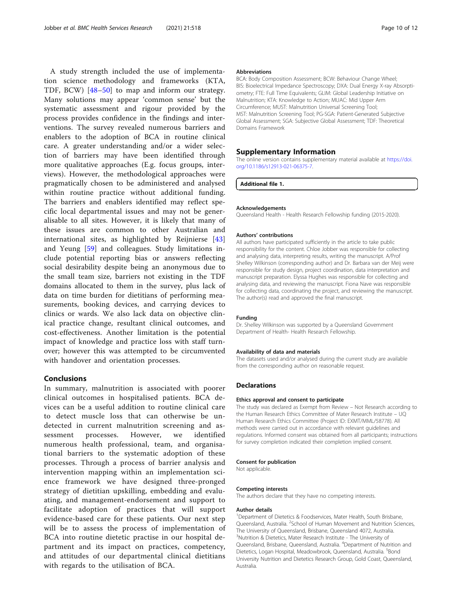<span id="page-10-0"></span>A study strength included the use of implementation science methodology and frameworks (KTA, TDF, BCW) [[48](#page-12-0)–[50\]](#page-12-0) to map and inform our strategy. Many solutions may appear 'common sense' but the systematic assessment and rigour provided by the process provides confidence in the findings and interventions. The survey revealed numerous barriers and enablers to the adoption of BCA in routine clinical care. A greater understanding and/or a wider selection of barriers may have been identified through more qualitative approaches (E.g. focus groups, interviews). However, the methodological approaches were pragmatically chosen to be administered and analysed within routine practice without additional funding. The barriers and enablers identified may reflect specific local departmental issues and may not be generalisable to all sites. However, it is likely that many of these issues are common to other Australian and international sites, as highlighted by Reijnierse [\[43](#page-12-0)] and Yeung [[59\]](#page-12-0) and colleagues. Study limitations include potential reporting bias or answers reflecting social desirability despite being an anonymous due to the small team size, barriers not existing in the TDF domains allocated to them in the survey, plus lack of data on time burden for dietitians of performing measurements, booking devices, and carrying devices to clinics or wards. We also lack data on objective clinical practice change, resultant clinical outcomes, and cost-effectiveness. Another limitation is the potential impact of knowledge and practice loss with staff turnover; however this was attempted to be circumvented with handover and orientation processes.

## Conclusions

In summary, malnutrition is associated with poorer clinical outcomes in hospitalised patients. BCA devices can be a useful addition to routine clinical care to detect muscle loss that can otherwise be undetected in current malnutrition screening and assessment processes. However, we identified numerous health professional, team, and organisational barriers to the systematic adoption of these processes. Through a process of barrier analysis and intervention mapping within an implementation science framework we have designed three-pronged strategy of dietitian upskilling, embedding and evaluating, and management-endorsement and support to facilitate adoption of practices that will support evidence-based care for these patients. Our next step will be to assess the process of implementation of BCA into routine dietetic practise in our hospital department and its impact on practices, competency, and attitudes of our departmental clinical dietitians with regards to the utilisation of BCA.

#### Abbreviations

BCA: Body Composition Assessment; BCW: Behaviour Change Wheel; BIS: Bioelectrical Impedance Spectroscopy; DXA: Dual Energy X-ray Absorptiometry; FTE: Full Time Equivalents; GLIM: Global Leadership Initiative on Malnutrition; KTA: Knowledge to Action; MUAC: Mid Upper Arm Circumference; MUST: Malnutrition Universal Screening Tool; MST: Malnutrition Screening Tool; PG-SGA: Patient-Generated Subjective Global Assessment; SGA: Subjective Global Assessment; TDF: Theoretical Domains Framework

#### Supplementary Information

The online version contains supplementary material available at [https://doi.](https://doi.org/10.1186/s12913-021-06375-7) [org/10.1186/s12913-021-06375-7.](https://doi.org/10.1186/s12913-021-06375-7)

Additional file 1.

#### Acknowledgements

Queensland Health - Health Research Fellowship funding (2015-2020).

#### Authors' contributions

All authors have participated sufficiently in the article to take public responsibility for the content. Chloe Jobber was responsible for collecting and analysing data, interpreting results, writing the manuscript. A/Prof Shelley Wilkinson (corresponding author) and Dr. Barbara van der Meij were responsible for study design, project coordination, data interpretation and manuscript preparation. Elyssa Hughes was responsible for collecting and analysing data, and reviewing the manuscript. Fiona Nave was responsible for collecting data, coordinating the project, and reviewing the manuscript. The author(s) read and approved the final manuscript.

#### Funding

Dr. Shelley Wilkinson was supported by a Queensland Government Department of Health- Health Research Fellowship.

#### Availability of data and materials

The datasets used and/or analysed during the current study are available from the corresponding author on reasonable request.

#### Declarations

#### Ethics approval and consent to participate

The study was declared as Exempt from Review – Not Research according to the Human Research Ethics Committee of Mater Research Institute – UQ Human Research Ethics Committee (Project ID: EXMT/MML/58778). All methods were carried out in accordance with relevant guidelines and regulations. Informed consent was obtained from all participants; instructions for survey completion indicated their completion implied consent.

#### Consent for publication

Not applicable.

#### Competing interests

The authors declare that they have no competing interests.

#### Author details

<sup>1</sup>Department of Dietetics & Foodservices, Mater Health, South Brisbane, Queensland, Australia. <sup>2</sup>School of Human Movement and Nutrition Sciences, The University of Queensland, Brisbane, Queensland 4072, Australia. <sup>3</sup>Nutrition & Dietetics, Mater Research Institute - The University of Queensland, Brisbane, Queensland, Australia. <sup>4</sup>Department of Nutrition and Dietetics, Logan Hospital, Meadowbrook, Queensland, Australia. <sup>5</sup>Bond University Nutrition and Dietetics Research Group, Gold Coast, Queensland, Australia.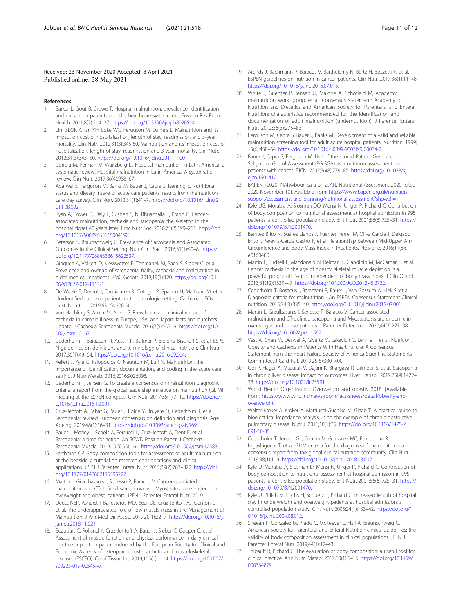#### <span id="page-11-0"></span>Received: 23 November 2020 Accepted: 8 April 2021 Published online: 28 May 2021

#### References

- 1. Barker L, Gout B, Crowe T. Hospital malnutrition: prevalence, identification and impact on patients and the healthcare system. Int J Environ Res Public Health. 2011;8(2):514–27. <https://doi.org/10.3390/ijerph8020514>.
- Lim SLOK, Chan YH, Loke WC, Ferguson M, Daniels L. Malnutrition and its impact on cost of hospitalization, length of stay, readmission and 3-year mortality. Clin Nutr. 2012;31(3):345-50. Malnutrition and its impact on cost of hospitalization, length of stay, readmission and 3-year mortality. Clin Nutr. 2012;31(3):345–50. [https://doi.org/10.1016/j.clnu.2011.11.001.](https://doi.org/10.1016/j.clnu.2011.11.001)
- 3. Correia M, Perman M, Waitzberg D. Hospital malnutrition in Latin America: a systematic review. Hospital malnutrition in Latin America: A systematic review. Clin Nutr. 2017;36(4):958–67.
- 4. Agarwal E, Ferguson M, Banks M, Bauer J, Capra S, Isenring E. Nutritional status and dietary intake of acute care patients: results from the nutrition care day survey. Clin Nutr. 2012;31(1):41–7. [https://doi.org/10.1016/j.clnu.2](https://doi.org/10.1016/j.clnu.2011.08.002) [011.08.002](https://doi.org/10.1016/j.clnu.2011.08.002).
- 5. Ryan A, Power D, Daly L, Cushen S, Ní Bhuachalla Ē, Prado C. Cancerassociated malnutrition, cachexia and sarcopenia: the skeleton in the hospital closet 40 years later. Proc Nutr Soc. 2016;75(2):199–211. [https://doi.](https://doi.org/10.1017/S002966511500419X) [org/10.1017/S002966511500419X](https://doi.org/10.1017/S002966511500419X).
- Peterson S, Braunschweig C. Prevalence of Sarcopenia and Associated Outcomes in the Clinical Setting. Nutr Clin Pract. 2016;31(1):40–8. [https://](https://doi.org/10.1177/0884533615622537) [doi.org/10.1177/0884533615622537.](https://doi.org/10.1177/0884533615622537)
- 7. Gingrich A, Volkert D, Kiesswetter E, Thomanek M, Bach S, Sieber C, et al. Prevalence and overlap of sarcopenia, frailty, cachexia and malnutrition in older medical inpatients. BMC Geriatr. 2019;19(1):120. [https://doi.org/10.11](https://doi.org/10.1186/s12877-019-1115-1) [86/s12877-019-1115-1](https://doi.org/10.1186/s12877-019-1115-1).
- 8. De Waele E, Demol J, Caccialanza R, Cotogni P, Spapen H, Malbrain M, et al. Unidentified cachexia patients in the oncologic setting: Cachexia UFOs do exist. Nutrition. 2019;63–64:200–4.
- 9. von Haehling S, Anker M, Anker S. Prevalence and clinical impact of cachexia in chronic illness in Europe, USA, and Japan: facts and numbers update. J Cachexia Sarcopenia Muscle. 2016;7(5):507–9. [https://doi.org/10.1](https://doi.org/10.1002/jcsm.12167) [002/jcsm.12167.](https://doi.org/10.1002/jcsm.12167)
- 10. Cederholm T, Barazzoni R, Austin P, Ballmer P, Biolo G, Bischoff S, et al. ESPE N guidelines on definitions and terminology of clinical nutrition. Clin Nutr. 2017;36(1):49–64. <https://doi.org/10.1016/j.clnu.2016.09.004>.
- 11. Kellett J, Kyle G, Itsiopoulos C, Naunton M, Luff N. Malnutrition: the importance of identification, documentation, and coding in the acute care setting. J Nutr Metab. 2016;2016:9026098.
- 12. Cederholm T, Jensen G. To create a consensus on malnutrition diagnostic criteria: a report from the global leadership initiative on malnutrition (GLIM) meeting at the ESPEN congress. Clin Nutr. 2017;36(1):7–10. [https://doi.org/1](https://doi.org/10.1016/j.clnu.2016.12.001) [0.1016/j.clnu.2016.12.001](https://doi.org/10.1016/j.clnu.2016.12.001).
- 13. Cruz-Jentoft A, Bahat G, Bauer J, Boirie Y, Bruyere O, Cederholm T, et al. Sarcopenia: revised European consensus on definition and diagnosis. Age Ageing. 2019;48(1):16–31. [https://doi.org/10.1093/ageing/afy169.](https://doi.org/10.1093/ageing/afy169)
- 14. Bauer J, Morley J, Schols A, Ferrucci L, Cruz-Jentoft A, Dent E, et al. Sarcopenia: a time for action. An SCWD Position Paper. J Cachexia Sarcopenia Muscle. 2019;10(5):956–61. [https://doi.org/10.1002/jcsm.12483.](https://doi.org/10.1002/jcsm.12483)
- 15. Earthman CP. Body composition tools for assessment of adult malnutrition at the bedside: a tutorial on research considerations and clinical applications. JPEN J Parenter Enteral Nutr. 2015;39(7):787–822. [https://doi.](https://doi.org/10.1177/0148607115595227) [org/10.1177/0148607115595227.](https://doi.org/10.1177/0148607115595227)
- 16. Martin L, Gioulbasanis I, Senesse P, Baracos V. Cancer-associated malnutrition and CT-defined sarcopenia and Myosteatosis are endemic in overweight and obese patients. JPEN J Parenter Enteral Nutr. 2019.
- 17. Deutz NEP, Ashurst I, Ballesteros MD, Bear DE, Cruz-Jentoft AJ, Genton L, et al. The underappreciated role of low muscle mass in the Management of Malnutrition. J Am Med Dir Assoc. 2019;20(1):22–7. [https://doi.org/10.1016/j.](https://doi.org/10.1016/j.jamda.2018.11.021) [jamda.2018.11.021](https://doi.org/10.1016/j.jamda.2018.11.021).
- 18. Beaudart C, Rolland Y, Cruz-Jentoft A, Bauer J, Sieber C, Cooper C, et al. Assessment of muscle function and physical performance in daily clinical practice: a position paper endorsed by the European Society for Clinical and Economic Aspects of osteoporosis, osteoarthritis and musculoskeletal diseases (ESCEO). Calcif Tissue Int. 2019;105(1):1–14. [https://doi.org/10.1007/](https://doi.org/10.1007/s00223-019-00545-w) [s00223-019-00545-w.](https://doi.org/10.1007/s00223-019-00545-w)
- 19. Arends J, Bachmann P, Baracos V, Barthelemy N, Bertz H, Bozzetti F, et al. ESPEN guidelines on nutrition in cancer patients. Clin Nutr. 2017;36(1):11–48. [https://doi.org/10.1016/j.clnu.2016.07.015.](https://doi.org/10.1016/j.clnu.2016.07.015)
- 20. White J, Guenter P, Jensen G, Malone A, Schofield M, Academy malnutrition work group, et al. Consensus statement: Academy of Nutrition and Dietetics and American Society for Parenteral and Enteral Nutrition: characteristics recommended for the identification and documentation of adult malnutrition (undernutrition). J Parenter Enteral Nutr. 2012;36(3):275–83.
- 21. Ferguson M, Capra S, Bauer J, Banks M. Development of a valid and reliable malnutrition screening tool for adult acute hospital patients. Nutrition. 1999; 15(6):458–64. [https://doi.org/10.1016/S0899-9007\(99\)00084-2.](https://doi.org/10.1016/S0899-9007(99)00084-2)
- 22. Bauer J, Capra S, Ferguson M. Use of the scored Patient-Generated Subjective Global Assessment (PG-SGA) as a nutrition assessment tool in patients with cancer. EJCN. 2002;56(8):779–85. [https://doi.org/10.1038/sj.](https://doi.org/10.1038/sj.ejcn.1601412) [ejcn.1601412.](https://doi.org/10.1038/sj.ejcn.1601412)
- 23. BAPEN. (2020) NAhwboun-sa-a-pn-asAN. Nutritional Assessment 2020 [cited 2020 November 10]. Available from: [https://www.bapen.org.uk/nutrition](https://www.bapen.org.uk/nutrition-support/assessment-and-planning/nutritional-assessment?showall=1)[support/assessment-and-planning/nutritional-assessment?showall=1](https://www.bapen.org.uk/nutrition-support/assessment-and-planning/nutritional-assessment?showall=1).
- 24. Kyle UG, Morabia A, Slosman DO, Mensi N, Unger P, Pichard C. Contribution of body composition to nutritional assessment at hospital admission in 995 patients: a controlled population study. Br J Nutr. 2001;86(6):725–31. [https://](https://doi.org/10.1079/BJN2001470) [doi.org/10.1079/BJN2001470.](https://doi.org/10.1079/BJN2001470)
- 25. Benítez Brito N, Suárez Llanos J, Fuentes Ferrer M, Oliva García J, Delgado Brito I, Pereyra-García Castro F, et al. Relationship between Mid-Upper Arm Circumference and Body Mass Index in Inpatients. PloS one. 2016;11(8): e0160480.
- 26. Martin L, Birdsell L, Macdonald N, Reiman T, Clandinin M, McCargar L, et al. Cancer cachexia in the age of obesity: skeletal muscle depletion is a powerful prognostic factor, independent of body mass index. J Clin Oncol. 2013;31(12):1539–47. [https://doi.org/10.1200/JCO.2012.45.2722.](https://doi.org/10.1200/JCO.2012.45.2722)
- 27. Cederholm T, Bosaeus I, Barazzoni R, Bauer J, Van Gossum A, Klek S, et al. Diagnostic criteria for malnutrition - An ESPEN Consensus Statement Clinical nutrition. 2015;34(3):335–40. [https://doi.org/10.1016/j.clnu.2015.03.001.](https://doi.org/10.1016/j.clnu.2015.03.001)
- 28. Martin L, Gioulbasanis I, Senesse P, Baracos V. Cancer-associated malnutrition and CT-defined sarcopenia and Myosteatosis are endemic in overweight and obese patients. J Parenter Enter Nutr. 2020;44(2):227–38. <https://doi.org/10.1002/jpen.1597>.
- 29. Vest A, Chan M, Deswal A, Givertz M, Lekavich C, Lennie T, et al. Nutrition, Obesity, and Cachexia in Patients With Heart Failure: A Consensus Statement from the Heart Failure Society of America Scientific Statements Committee. J Card Fail. 2019;25(5):380–400.
- 30. Ooi P, Hager A, Mazurak V, Dajani K, Bhargava R, Gilmour S, et al. Sarcopenia in chronic liver disease: impact on outcomes. Liver Transpl. 2019;25(9):1422– 38. [https://doi.org/10.1002/lt.25591.](https://doi.org/10.1002/lt.25591)
- 31. World Health Organization. Overweight and obesity 2018. [Available from: [https://www.who.int/news-room/fact-sheets/detail/obesity-and](https://www.who.int/news-room/fact-sheets/detail/obesity-and-overweight)[overweight.](https://www.who.int/news-room/fact-sheets/detail/obesity-and-overweight)
- 32. Walter-Kroker A, Kroker A, Mattiucci-Guehlke M, Glaab T. A practical guide to bioelectrical impedance analysis using the example of chronic obstructive pulmonary disease. Nutr J. 2011;10(1):35. [https://doi.org/10.1186/1475-2](https://doi.org/10.1186/1475-2891-10-35) [891-10-35.](https://doi.org/10.1186/1475-2891-10-35)
- 33. Cederholm T, Jensen GL, Correia M, Gonzalez MC, Fukushima R, Higashiguchi T, et al. GLIM criteria for the diagnosis of malnutrition - a consensus report from the global clinical nutrition community. Clin Nutr. 2019;38(1):1–9. [https://doi.org/10.1016/j.clnu.2018.08.002.](https://doi.org/10.1016/j.clnu.2018.08.002)
- 34. Kyle U, Morabia A, Slosman D, Mensi N, Unger P, Pichard C. Contribution of body composition to nutritional assessment at hospital admission in 995 patients: a controlled population study. Br J Nutr. 2001;86(6):725–31. [https://](https://doi.org/10.1079/BJN2001470) [doi.org/10.1079/BJN2001470.](https://doi.org/10.1079/BJN2001470)
- 35. Kyle U, Pirlich M, Lochs H, Schuetz T, Pichard C. Increased length of hospital stay in underweight and overweight patients at hospital admission: a controlled population study. Clin Nutr. 2005;24(1):133–42. [https://doi.org/1](https://doi.org/10.1016/j.clnu.2004.08.012) [0.1016/j.clnu.2004.08.012](https://doi.org/10.1016/j.clnu.2004.08.012).
- 36. Sheean P, Gonzalez M, Prado C, McKeever L, Hall A, Braunschweig C. American Society for Parenteral and Enteral Nutrition clinical guidelines: the validity of body composition assessment in clinical populations. JPEN J Parenter Enteral Nutr. 2019;44(1):12–43.
- 37. Thibault R, Pichard C. The evaluation of body composition: a useful tool for clinical practice. Ann Nutri Metab. 2012;60(1):6–16. [https://doi.org/10.1159/](https://doi.org/10.1159/000334879) [000334879](https://doi.org/10.1159/000334879).